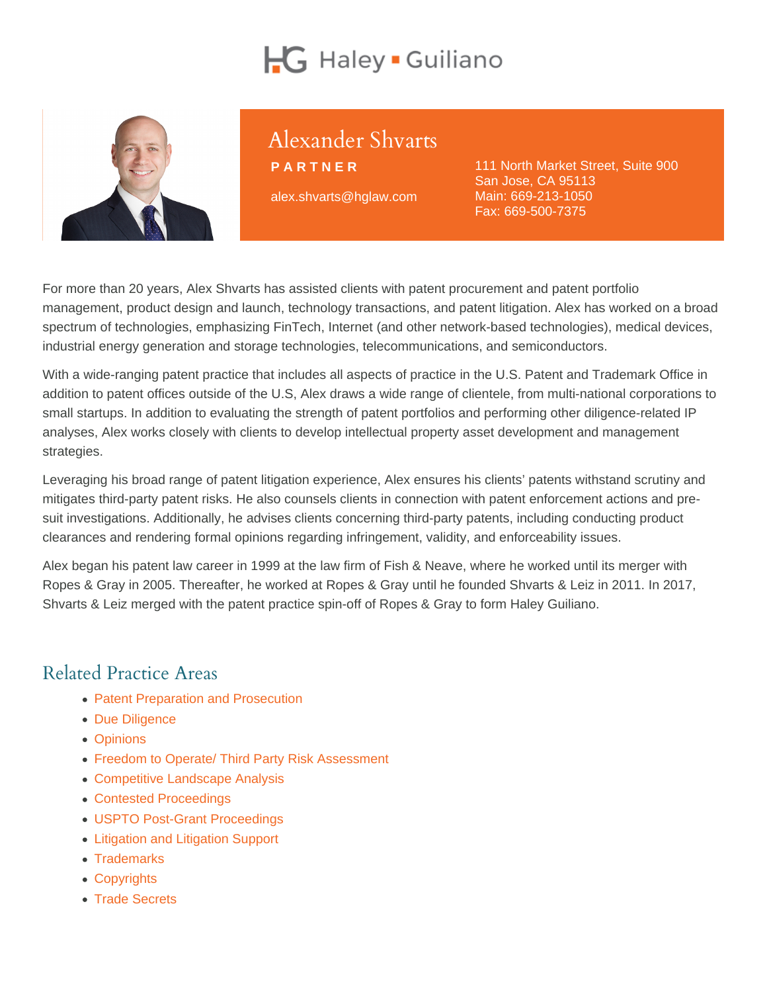# Alexander Shvarts

PARTNER alex.shvarts@hglaw.com 111 North Market Street, Suite 900 San Jose, CA 95113 Main: [669-213-1050](tel:+1-669-213-1050) Fax: 669-500-7375

For more than 20 years, Alex Shvarts has assisted clients with patent procurement and patent portfolio management, product design and launch, technology transactions, and patent litigation. Alex has worked on a broad spectrum of technologies, emphasizing FinTech, Internet (and other network-based technologies), medical devices, industrial energy generation and storage technologies, telecommunications, and semiconductors.

With a wide-ranging patent practice that includes all aspects of practice in the U.S. Patent and Trademark Office in addition to patent offices outside of the U.S, Alex draws a wide range of clientele, from multi-national corporations to small startups. In addition to evaluating the strength of patent portfolios and performing other diligence-related IP analyses, Alex works closely with clients to develop intellectual property asset development and management strategies.

Leveraging his broad range of patent litigation experience, Alex ensures his clients' patents withstand scrutiny and mitigates third-party patent risks. He also counsels clients in connection with patent enforcement actions and presuit investigations. Additionally, he advises clients concerning third-party patents, including conducting product clearances and rendering formal opinions regarding infringement, validity, and enforceability issues.

Alex began his patent law career in 1999 at the law firm of Fish & Neave, where he worked until its merger with Ropes & Gray in 2005. Thereafter, he worked at Ropes & Gray until he founded Shvarts & Leiz in 2011. In 2017, Shvarts & Leiz merged with the patent practice spin-off of Ropes & Gray to form Haley Guiliano.

## Related Practice Areas

- [Patent Preparation and Prosecution](https://www.hglaw.com/practice-areas/patents/patent-preparation-prosecution/)
- [Due Diligence](https://www.hglaw.com/practice-areas/strategic-counseling/due-diligence/)
- [Opinions](https://www.hglaw.com/practice-areas/strategic-counseling/opinions/)
- [Freedom to Operate/ Third Party Risk Assessment](https://www.hglaw.com/practice-areas/strategic-counseling/freedom-to-operate-third-party-risk-assessment/)
- [Competitive Landscape Analysis](https://www.hglaw.com/practice-areas/strategic-counseling/competitive-landscape-analysis/)
- [Contested Proceedings](https://www.hglaw.com/practice-areas/contested-proceedings/)
- [USPTO Post-Grant Proceedings](https://www.hglaw.com/practice-areas/contested-proceedings/uspto-post-grant-proceedings/)
- [Litigation and Litigation Support](https://www.hglaw.com/practice-areas/contested-proceedings/litigation-support/)
- [Trademarks](https://www.hglaw.com/practice-areas/trademarks/)
- [Copyrights](https://www.hglaw.com/practice-areas/copyrights/)
- [Trade Secrets](https://www.hglaw.com/practice-areas/trade-secrets/)